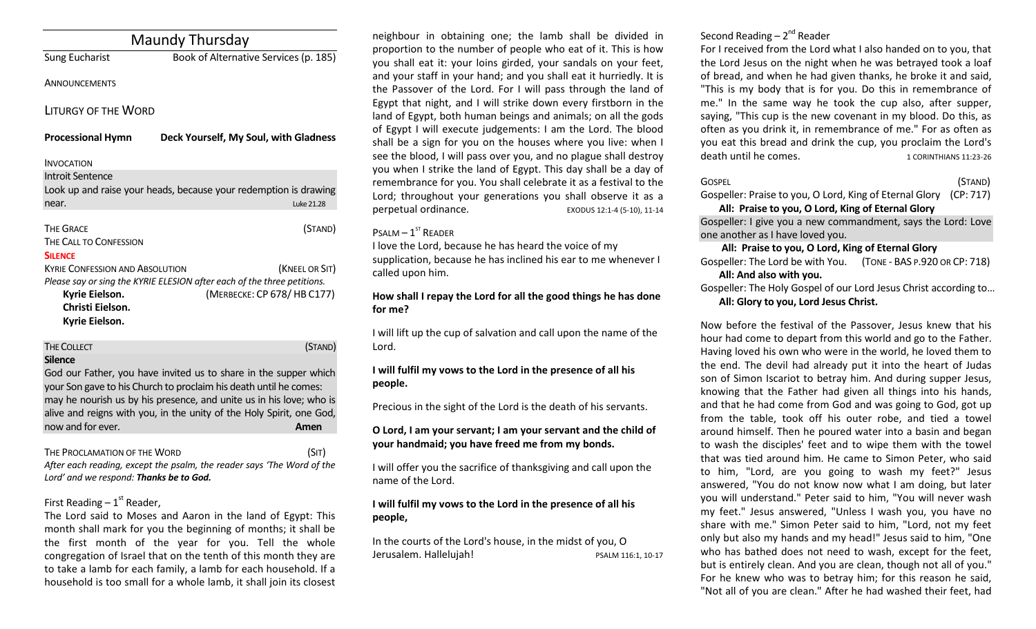| <b>Maundy Thursday</b>                                                                         |                                                                                                                          |  |
|------------------------------------------------------------------------------------------------|--------------------------------------------------------------------------------------------------------------------------|--|
| <b>Sung Eucharist</b>                                                                          | Book of Alternative Services (p. 185)                                                                                    |  |
| <b>ANNOUNCEMENTS</b>                                                                           |                                                                                                                          |  |
| <b>LITURGY OF THE WORD</b>                                                                     |                                                                                                                          |  |
| <b>Processional Hymn</b>                                                                       | Deck Yourself, My Soul, with Gladness                                                                                    |  |
| <b>INVOCATION</b>                                                                              |                                                                                                                          |  |
| Introit Sentence<br>near.                                                                      | Look up and raise your heads, because your redemption is drawing<br>Luke 21.28                                           |  |
| <b>THE GRACE</b><br>THE CALL TO CONFESSION<br><b>SILENCE</b>                                   | (STAND)                                                                                                                  |  |
| <b>KYRIE CONFESSION AND ABSOLUTION</b><br>Kyrie Eielson.<br>Christi Eielson.<br>Kyrie Eielson. | (KNEEL OR SIT)<br>Please say or sing the KYRIE ELESION after each of the three petitions.<br>(MERBECKE: CP 678/ HB C177) |  |
| <b>THE COLLECT</b>                                                                             | (Stand)                                                                                                                  |  |

#### **Silence**

God our Father, you have invited us to share in the supper which your Son gave to his Church to proclaim his death until he comes: may he nourish us by his presence, and unite us in his love; who is alive and reigns with you, in the unity of the Holy Spirit, one God, now and for ever.

THE PROCLAMATION OF THE WORD (SIT) *After each reading, except the psalm, the reader says 'The Word of the Lord' and we respond: Thanks be to God.* 

# First Reading  $-1<sup>st</sup>$  Reader,

The Lord said to Moses and Aaron in the land of Egypt: This month shall mark for you the beginning of months; it shall be the first month of the year for you. Tell the whole congregation of Israel that on the tenth of this month they are to take a lamb for each family, a lamb for each household. If a household is too small for a whole lamb, it shall join its closest

neighbour in obtaining one; the lamb shall be divided in proportion to the number of people who eat of it. This is how you shall eat it: your loins girded, your sandals on your feet, and your staff in your hand; and you shall eat it hurriedly. It is the Passover of the Lord. For I will pass through the land of Egypt that night, and I will strike down every firstborn in the land of Egypt, both human beings and animals; on all the gods of Egypt I will execute judgements: I am the Lord. The blood shall be a sign for you on the houses where you live: when I see the blood, I will pass over you, and no plague shall destroy you when I strike the land of Egypt. This day shall be a day of remembrance for you. You shall celebrate it as a festival to the Lord; throughout your generations you shall observe it as a perpetual ordinance. EXODUS 12:1-4 (5-10), 11-14

## $P$ SALM  $-1$ <sup>ST</sup> READER

I love the Lord, because he has heard the voice of my supplication, because he has inclined his ear to me whenever I called upon him.

## **How shall I repay the Lord for all the good things he has done for me?**

I will lift up the cup of salvation and call upon the name of the Lord.

## **I will fulfil my vows to the Lord in the presence of all his people.**

Precious in the sight of the Lord is the death of his servants.

## **O Lord, I am your servant; I am your servant and the child of your handmaid; you have freed me from my bonds.**

I will offer you the sacrifice of thanksgiving and call upon the name of the Lord.

### **I will fulfil my vows to the Lord in the presence of all his people,**

In the courts of the Lord's house, in the midst of you, O Jerusalem. Hallelujah! PSALM 116:1, 10-17

# Second Reading – 2<sup>nd</sup> Reader

For I received from the Lord what I also handed on to you, that the Lord Jesus on the night when he was betrayed took a loaf of bread, and when he had given thanks, he broke it and said, "This is my body that is for you. Do this in remembrance of me." In the same way he took the cup also, after supper, saying, "This cup is the new covenant in my blood. Do this, as often as you drink it, in remembrance of me." For as often as you eat this bread and drink the cup, you proclaim the Lord's death until he comes. 1 CORINTHIANS 11:23-26

GOSPEL (STAND)

Gospeller: Praise to you, O Lord, King of Eternal Glory (CP: 717) **All: Praise to you, O Lord, King of Eternal Glory**

Gospeller: I give you a new commandment, says the Lord: Love one another as I have loved you.

**All: Praise to you, O Lord, King of Eternal Glory** Gospeller: The Lord be with You. (TONE - BAS P.920 OR CP: 718)

### **All: And also with you.**

Gospeller: The Holy Gospel of our Lord Jesus Christ according to… **All: Glory to you, Lord Jesus Christ.**

Now before the festival of the Passover, Jesus knew that his hour had come to depart from this world and go to the Father. Having loved his own who were in the world, he loved them to the end. The devil had already put it into the heart of Judas son of Simon Iscariot to betray him. And during supper Jesus, knowing that the Father had given all things into his hands, and that he had come from God and was going to God, got up from the table, took off his outer robe, and tied a towel around himself. Then he poured water into a basin and began to wash the disciples' feet and to wipe them with the towel that was tied around him. He came to Simon Peter, who said to him, "Lord, are you going to wash my feet?" Jesus answered, "You do not know now what I am doing, but later you will understand." Peter said to him, "You will never wash my feet." Jesus answered, "Unless I wash you, you have no share with me." Simon Peter said to him, "Lord, not my feet only but also my hands and my head!" Jesus said to him, "One who has bathed does not need to wash, except for the feet, but is entirely clean. And you are clean, though not all of you." For he knew who was to betray him; for this reason he said, "Not all of you are clean." After he had washed their feet, had